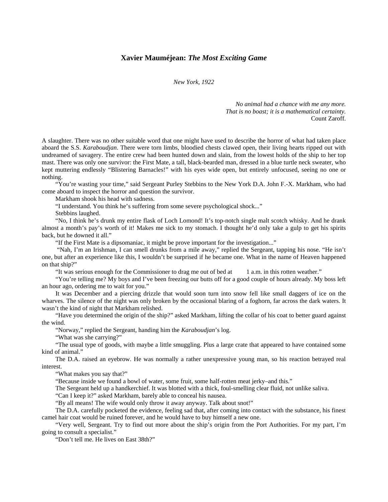## **Xavier Mauméjean:** *The Most Exciting Game*

*New York, 1922*

*No animal had a chance with me any more. That is no boast; it is a mathematical certainty.*  Count Zaroff.

A slaughter. There was no other suitable word that one might have used to describe the horror of what had taken place aboard the S.S. *Karaboudjan*. There were torn limbs, bloodied chests clawed open, their living hearts ripped out with undreamed of savagery. The entire crew had been hunted down and slain, from the lowest holds of the ship to her top mast. There was only one survivor: the First Mate, a tall, black-bearded man, dressed in a blue turtle neck sweater, who kept muttering endlessly "Blistering Barnacles!" with his eyes wide open, but entirely unfocused, seeing no one or nothing.

"You're wasting your time," said Sergeant Purley Stebbins to the New York D.A. John F.-X. Markham, who had come aboard to inspect the horror and question the survivor.

Markham shook his head with sadness.

"I understand. You think he's suffering from some severe psychological shock..."

Stebbins laughed.

"No, I think he's drunk my entire flask of Loch Lomond! It's top-notch single malt scotch whisky. And he drank almost a month's pay's worth of it! Makes me sick to my stomach. I thought he'd only take a gulp to get his spirits back, but he downed it all."

"If the First Mate is a dipsomaniac, it might be prove important for the investigation..."

"Nah, I'm an Irishman, I can smell drunks from a mile away," replied the Sergeant, tapping his nose. "He isn't one, but after an experience like this, I wouldn't be surprised if he became one. What in the name of Heaven happened on that ship?"

"It was serious enough for the Commissioner to drag me out of bed at 1 a.m. in this rotten weather."

"You're telling me? My boys and I've been freezing our butts off for a good couple of hours already. My boss left an hour ago, ordering me to wait for you."

It was December and a piercing drizzle that would soon turn into snow fell like small daggers of ice on the wharves. The silence of the night was only broken by the occasional blaring of a foghorn, far across the dark waters. It wasn't the kind of night that Markham relished.

"Have you determined the origin of the ship?" asked Markham, lifting the collar of his coat to better guard against the wind.

"Norway," replied the Sergeant, handing him the *Karaboudjan*'s log.

"What was she carrying?"

"The usual type of goods, with maybe a little smuggling. Plus a large crate that appeared to have contained some kind of animal."

The D.A. raised an eyebrow. He was normally a rather unexpressive young man, so his reaction betrayed real interest.

"What makes you say that?"

"Because inside we found a bowl of water, some fruit, some half-rotten meat jerky–and this."

The Sergeant held up a handkerchief. It was blotted with a thick, foul-smelling clear fluid, not unlike saliva.

"Can I keep it?" asked Markham, barely able to conceal his nausea.

"By all means! The wife would only throw it away anyway. Talk about snot!"

The D.A. carefully pocketed the evidence, feeling sad that, after coming into contact with the substance, his finest camel hair coat would be ruined forever, and he would have to buy himself a new one.

"Very well, Sergeant. Try to find out more about the ship's origin from the Port Authorities. For my part, I'm going to consult a specialist."

"Don't tell me. He lives on East 38th?"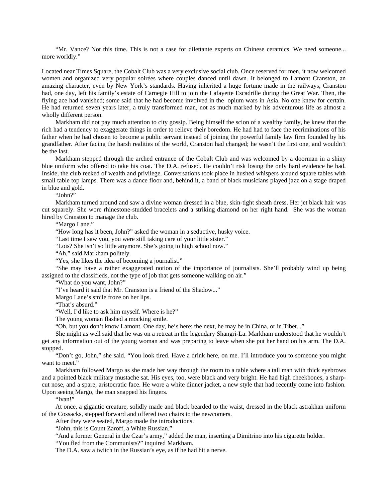"Mr. Vance? Not this time. This is not a case for dilettante experts on Chinese ceramics. We need someone... more worldly."

Located near Times Square, the Cobalt Club was a very exclusive social club. Once reserved for men, it now welcomed women and organized very popular soirées where couples danced until dawn. It belonged to Lamont Cranston, an amazing character, even by New York's standards. Having inherited a huge fortune made in the railways, Cranston had, one day, left his family's estate of Carnegie Hill to join the Lafayette Escadrille during the Great War. Then, the flying ace had vanished; some said that he had become involved in the opium wars in Asia. No one knew for certain. He had returned seven years later, a truly transformed man, not as much marked by his adventurous life as almost a wholly different person.

Markham did not pay much attention to city gossip. Being himself the scion of a wealthy family, he knew that the rich had a tendency to exaggerate things in order to relieve their boredom. He had had to face the recriminations of his father when he had chosen to become a public servant instead of joining the powerful family law firm founded by his grandfather. After facing the harsh realities of the world, Cranston had changed; he wasn't the first one, and wouldn't be the last.

Markham stepped through the arched entrance of the Cobalt Club and was welcomed by a doorman in a shiny blue uniform who offered to take his coat. The D.A. refused. He couldn't risk losing the only hard evidence he had. Inside, the club reeked of wealth and privilege. Conversations took place in hushed whispers around square tables with small table top lamps. There was a dance floor and, behind it, a band of black musicians played jazz on a stage draped in blue and gold.

"John?"

Markham turned around and saw a divine woman dressed in a blue, skin-tight sheath dress. Her jet black hair was cut squarely. She wore rhinestone-studded bracelets and a striking diamond on her right hand. She was the woman hired by Cranston to manage the club.

"Margo Lane."

"How long has it been, John?" asked the woman in a seductive, husky voice.

"Last time I saw you, you were still taking care of your little sister."

"Lois? She isn't so little anymore. She's going to high school now."

"Ah," said Markham politely.

"Yes, she likes the idea of becoming a journalist."

"She may have a rather exaggerated notion of the importance of journalists. She'll probably wind up being assigned to the classifieds, not the type of job that gets someone walking on air."

"What do you want, John?"

"I've heard it said that Mr. Cranston is a friend of the Shadow..."

Margo Lane's smile froze on her lips.

"That's absurd."

"Well, I'd like to ask him myself. Where is he?"

The young woman flashed a mocking smile.

"Oh, but you don't know Lamont. One day, he's here; the next, he may be in China, or in Tibet..."

She might as well said that he was on a retreat in the legendary Shangri-La. Markham understood that he wouldn't get any information out of the young woman and was preparing to leave when she put her hand on his arm. The D.A. stopped.

"Don't go, John," she said. "You look tired. Have a drink here, on me. I'll introduce you to someone you might want to meet."

Markham followed Margo as she made her way through the room to a table where a tall man with thick eyebrows and a pointed black military mustache sat. His eyes, too, were black and very bright. He had high cheekbones, a sharpcut nose, and a spare, aristocratic face. He wore a white dinner jacket, a new style that had recently come into fashion. Upon seeing Margo, the man snapped his fingers.

"Ivan!"

At once, a gigantic creature, solidly made and black bearded to the waist, dressed in the black astrakhan uniform of the Cossacks, stepped forward and offered two chairs to the newcomers.

After they were seated, Margo made the introductions.

"John, this is Count Zaroff, a White Russian."

"And a former General in the Czar's army," added the man, inserting a Dimitrino into his cigarette holder.

"You fled from the Communists?" inquired Markham.

The D.A. saw a twitch in the Russian's eye, as if he had hit a nerve.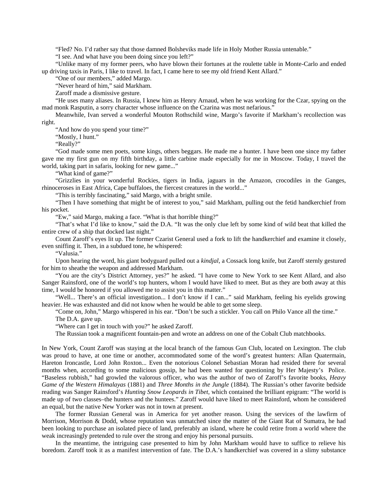"Fled? No. I'd rather say that those damned Bolsheviks made life in Holy Mother Russia untenable."

"I see. And what have you been doing since you left?"

"Unlike many of my former peers, who have blown their fortunes at the roulette table in Monte-Carlo and ended up driving taxis in Paris, I like to travel. In fact, I came here to see my old friend Kent Allard."

"One of our members," added Margo.

"Never heard of him," said Markham.

Zaroff made a dismissive gesture.

"He uses many aliases. In Russia, I knew him as Henry Arnaud, when he was working for the Czar, spying on the mad monk Rasputin, a sorry character whose influence on the Czarina was most nefarious."

Meanwhile, Ivan served a wonderful Mouton Rothschild wine, Margo's favorite if Markham's recollection was right.

"And how do you spend your time?"

"Mostly, I hunt."

"Really?"

"God made some men poets, some kings, others beggars. He made me a hunter. I have been one since my father gave me my first gun on my fifth birthday, a little carbine made especially for me in Moscow. Today, I travel the world, taking part in safaris, looking for new game..."

"What kind of game?"

"Grizzlies in your wonderful Rockies, tigers in India, jaguars in the Amazon, crocodiles in the Ganges, rhinoceroses in East Africa, Cape buffaloes, the fiercest creatures in the world..."

"This is terribly fascinating," said Margo, with a bright smile.

"Then I have something that might be of interest to you," said Markham, pulling out the fetid handkerchief from his pocket.

"Ew," said Margo, making a face. "What is that horrible thing?"

"That's what I'd like to know," said the D.A. "It was the only clue left by some kind of wild beat that killed the entire crew of a ship that docked last night."

Count Zaroff's eyes lit up. The former Czarist General used a fork to lift the handkerchief and examine it closely, even sniffing it. Then, in a subdued tone, he whispered:

"Valusia."

Upon hearing the word, his giant bodyguard pulled out a *kindjal*, a Cossack long knife, but Zaroff sternly gestured for him to sheathe the weapon and addressed Markham.

"You are the city's District Attorney, yes?" he asked. "I have come to New York to see Kent Allard, and also Sanger Rainsford, one of the world's top hunters, whom I would have liked to meet. But as they are both away at this time, I would be honored if you allowed me to assist you in this matter."

"Well... There's an official investigation... I don't know if I can..." said Markham, feeling his eyelids growing heavier. He was exhausted and did not know when he would be able to get some sleep.

"Come on, John," Margo whispered in his ear. "Don't be such a stickler. You call on Philo Vance all the time." The D.A. gave up.

"Where can I get in touch with you?" he asked Zaroff.

The Russian took a magnificent fountain-pen and wrote an address on one of the Cobalt Club matchbooks.

In New York, Count Zaroff was staying at the local branch of the famous Gun Club, located on Lexington. The club was proud to have, at one time or another, accommodated some of the word's greatest hunters: Allan Quatermain, Hareton Ironcastle, Lord John Roxton... Even the notorious Colonel Sebastian Moran had resided there for several months when, according to some malicious gossip, he had been wanted for questioning by Her Majesty's Police. "Baseless rubbish," had growled the valorous officer, who was the author of two of Zaroff's favorite books, *Heavy Game of the Western Himalayas* (1881) and *Three Months in the Jungle* (1884). The Russian's other favorite bedside reading was Sanger Rainsford's *Hunting Snow Leopards in Tibet*, which contained the brilliant epigram: "The world is made up of two classes–the hunters and the huntees." Zaroff would have liked to meet Rainsford, whom he considered an equal, but the native New Yorker was not in town at present.

The former Russian General was in America for yet another reason. Using the services of the lawfirm of Morrison, Morrison & Dodd, whose reputation was unmatched since the matter of the Giant Rat of Sumatra, he had been looking to purchase an isolated piece of land, preferably an island, where he could retire from a world where the weak increasingly pretended to rule over the strong and enjoy his personal pursuits.

In the meantime, the intriguing case presented to him by John Markham would have to suffice to relieve his boredom. Zaroff took it as a manifest intervention of fate. The D.A.'s handkerchief was covered in a slimy substance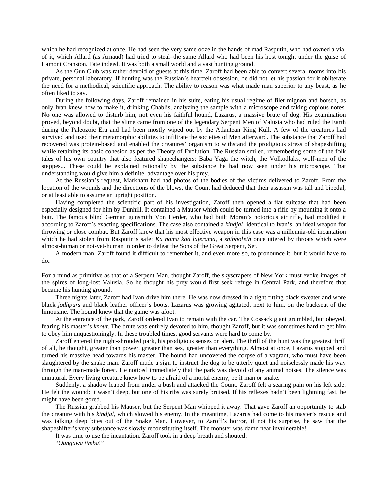which he had recognized at once. He had seen the very same ooze in the hands of mad Rasputin, who had owned a vial of it, which Allard (as Arnaud) had tried to steal–the same Allard who had been his host tonight under the guise of Lamont Cranston. Fate indeed. It was both a small world and a vast hunting ground.

As the Gun Club was rather devoid of guests at this time, Zaroff had been able to convert several rooms into his private, personal laboratory. If hunting was the Russian's heartfelt obsession, he did not let his passion for it obliterate the need for a methodical, scientific approach. The ability to reason was what made man superior to any beast, as he often liked to say.

During the following days, Zaroff remained in his suite, eating his usual regime of filet mignon and borsch, as only Ivan knew how to make it, drinking Chablis, analyzing the sample with a microscope and taking copious notes. No one was allowed to disturb him, not even his faithful hound, Lazarus, a massive brute of dog. His examination proved, beyond doubt, that the slime came from one of the legendary Serpent Men of Valusia who had ruled the Earth during the Paleozoic Era and had been mostly wiped out by the Atlantean King Kull. A few of the creatures had survived and used their metamorphic abilities to infiltrate the societies of Men afterward. The substance that Zaroff had recovered was protein-based and enabled the creatures' organism to withstand the prodigious stress of shapeshifting while retaining its basic cohesion as per the Theory of Evolution. The Russian smiled, remembering some of the folk tales of his own country that also featured shapechangers: Baba Yaga the witch, the Volkodlaks, wolf-men of the steppes... These could be explained rationally by the substance he had now seen under his microscope. That understanding would give him a definite advantage over his prey.

At the Russian's request, Markham had had photos of the bodies of the victims delivered to Zaroff. From the location of the wounds and the directions of the blows, the Count had deduced that their assassin was tall and bipedal, or at least able to assume an upright position.

Having completed the scientific part of his investigation, Zaroff then opened a flat suitcase that had been especially designed for him by Dunhill. It contained a Mauser which could be turned into a rifle by mounting it onto a butt. The famous blind German gunsmith Von Herder, who had built Moran's notorious air rifle, had modified it according to Zaroff's exacting specifications. The case also contained a *kindjal*, identical to Ivan's, an ideal weapon for throwing or close combat. But Zaroff knew that his most effective weapon in this case was a millennia-old incantation which he had stolen from Rasputin's safe: *Ka nama kaa lajerama*, a *shibboleth* once uttered by throats which were almost-human or not-yet-human in order to defeat the Sons of the Great Serpent, Set.

A modern man, Zaroff found it difficult to remember it, and even more so, to pronounce it, but it would have to do.

For a mind as primitive as that of a Serpent Man, thought Zaroff, the skyscrapers of New York must evoke images of the spires of long-lost Valusia. So he thought his prey would first seek refuge in Central Park, and therefore that became his hunting ground.

Three nights later, Zaroff had Ivan drive him there. He was now dressed in a tight fitting black sweater and wore black *jodhpurs* and black leather officer's boots. Lazarus was growing agitated, next to him, on the backseat of the limousine. The hound knew that the game was afoot.

At the entrance of the park, Zaroff ordered Ivan to remain with the car. The Cossack giant grumbled, but obeyed, fearing his master's *knout*. The brute was entirely devoted to him, thought Zaroff, but it was sometimes hard to get him to obey him unquestioningly. In these troubled times, good servants were hard to come by.

Zaroff entered the night-shrouded park, his prodigious senses on alert. The thrill of the hunt was the greatest thrill of all, he thought, greater than power, greater than sex, greater than everything. Almost at once, Lazarus stopped and turned his massive head towards his master. The hound had uncovered the corpse of a vagrant, who must have been slaughtered by the snake man. Zaroff made a sign to instruct the dog to be utterly quiet and noiselessly made his way through the man-made forest. He noticed immediately that the park was devoid of any animal noises. The silence was unnatural. Every living creature knew how to be afraid of a mortal enemy, be it man or snake.

Suddenly, a shadow leaped from under a bush and attacked the Count. Zaroff felt a searing pain on his left side. He felt the wound: it wasn't deep, but one of his ribs was surely bruised. If his reflexes hadn't been lightning fast, he might have been gored.

The Russian grabbed his Mauser, but the Serpent Man whipped it away. That gave Zaroff an opportunity to stab the creature with his *kindjal*, which slowed his enemy. In the meantime, Lazarus had come to his master's rescue and was talking deep bites out of the Snake Man. However, to Zaroff's horror, if not his surprise, he saw that the shapeshifter's very substance was slowly reconstituting itself. The monster was damn near invulnerable!

It was time to use the incantation. Zaroff took in a deep breath and shouted:

"*Oungawa timba*!"